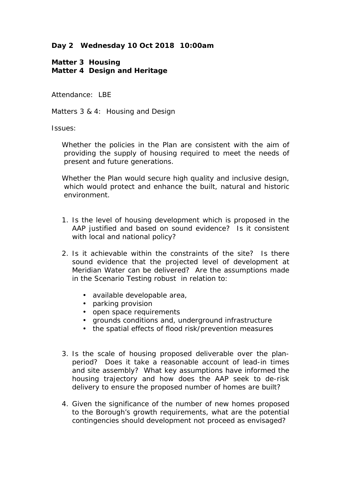## **Day 2 Wednesday 10 Oct 2018 10:00am**

**Matter 3 Housing Matter 4 Design and Heritage**

Attendance: LBF

Matters 3 & 4: Housing and Design

Issues:

Whether the policies in the Plan are consistent with the aim of providing the supply of housing required to meet the needs of present and future generations.

Whether the Plan would secure high quality and inclusive design, which would protect and enhance the built, natural and historic environment.

- 1. Is the level of housing development which is proposed in the AAP justified and based on sound evidence? Is it consistent with local and national policy?
- 2. Is it achievable within the constraints of the site? Is there sound evidence that the projected level of development at Meridian Water can be delivered? Are the assumptions made in the Scenario Testing robust in relation to:
	- available developable area,
	- parking provision
	- open space requirements
	- grounds conditions and, underground infrastructure
	- the spatial effects of flood risk/prevention measures
- 3. Is the scale of housing proposed deliverable over the planperiod? Does it take a reasonable account of lead-in times and site assembly? What key assumptions have informed the housing trajectory and how does the AAP seek to de-risk delivery to ensure the proposed number of homes are built?
- 4. Given the significance of the number of new homes proposed to the Borough's growth requirements, what are the potential contingencies should development not proceed as envisaged?